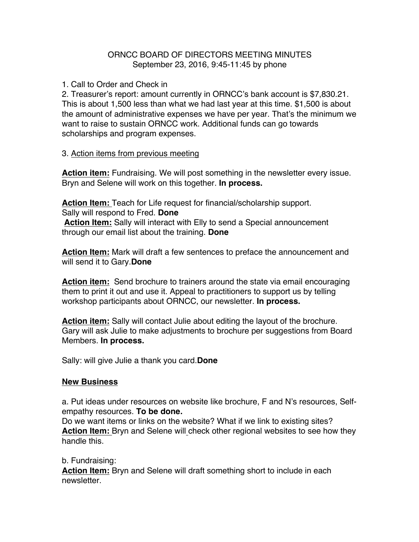## ORNCC BOARD OF DIRECTORS MEETING MINUTES September 23, 2016, 9:45-11:45 by phone

1. Call to Order and Check in

2. Treasurer's report: amount currently in ORNCC's bank account is \$7,830.21. This is about 1,500 less than what we had last year at this time. \$1,500 is about the amount of administrative expenses we have per year. That's the minimum we want to raise to sustain ORNCC work. Additional funds can go towards scholarships and program expenses.

## 3. Action items from previous meeting

**Action item:** Fundraising. We will post something in the newsletter every issue. Bryn and Selene will work on this together. **In process.**

**Action Item:** Teach for Life request for financial/scholarship support. Sally will respond to Fred. **Done**

**Action Item:** Sally will interact with Elly to send a Special announcement through our email list about the training. **Done**

**Action Item:** Mark will draft a few sentences to preface the announcement and will send it to Gary.**Done**

**Action item:** Send brochure to trainers around the state via email encouraging them to print it out and use it. Appeal to practitioners to support us by telling workshop participants about ORNCC, our newsletter. **In process.**

**Action item:** Sally will contact Julie about editing the layout of the brochure. Gary will ask Julie to make adjustments to brochure per suggestions from Board Members. **In process.**

Sally: will give Julie a thank you card.**Done**

## **New Business**

a. Put ideas under resources on website like brochure, F and N's resources, Selfempathy resources. **To be done.**

Do we want items or links on the website? What if we link to existing sites? **Action Item:** Bryn and Selene will check other regional websites to see how they handle this.

b. Fundraising:

**Action Item:** Bryn and Selene will draft something short to include in each newsletter.